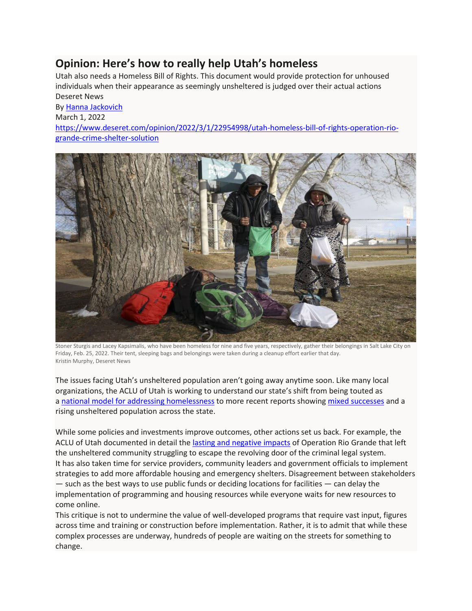## **Opinion: Here's how to really help Utah's homeless**

Utah also needs a Homeless Bill of Rights. This document would provide protection for unhoused individuals when their appearance as seemingly unsheltered is judged over their actual actions Deseret News

By [Hanna Jackovich](https://www.deseret.com/authors/hanna-jackovich) March 1, 2022 [https://www.deseret.com/opinion/2022/3/1/22954998/utah-homeless-bill-of-rights-operation-rio](https://www.deseret.com/opinion/2022/3/1/22954998/utah-homeless-bill-of-rights-operation-rio-grande-crime-shelter-solution)[grande-crime-shelter-solution](https://www.deseret.com/opinion/2022/3/1/22954998/utah-homeless-bill-of-rights-operation-rio-grande-crime-shelter-solution)



Stoner Sturgis and Lacey Kapsimalis, who have been homeless for nine and five years, respectively, gather their belongings in Salt Lake City on Friday, Feb. 25, 2022. Their tent, sleeping bags and belongings were taken during a cleanup effort earlier that day. Kristin Murphy, Deseret News

The issues facing Utah's unsheltered population aren't going away anytime soon. Like many local organizations, the ACLU of Utah is working to understand our state's shift from being touted as a [national model for addressing homelessness](https://www.deseret.com/2013/2/23/20448726/about-utah-utah-s-attack-on-homelessness-a-model-for-the-nation) to more recent reports showing [mixed successes](https://www.deseret.com/utah/2021/7/28/22597041/salt-lake-city-how-utah-is-succeeding-and-falling-short-with-homelessness) and a rising unsheltered population across the state.

While some policies and investments improve outcomes, other actions set us back. For example, the ACLU of Utah documented in detail the [lasting and negative impacts](https://www.acluutah.org/resources/articles-position-papers/item/1577-rio-grande-endgame) of Operation Rio Grande that left the unsheltered community struggling to escape the revolving door of the criminal legal system. It has also taken time for service providers, community leaders and government officials to implement strategies to add more affordable housing and emergency shelters. Disagreement between stakeholders — such as the best ways to use public funds or deciding locations for facilities — can delay the implementation of programming and housing resources while everyone waits for new resources to come online.

This critique is not to undermine the value of well-developed programs that require vast input, figures across time and training or construction before implementation. Rather, it is to admit that while these complex processes are underway, hundreds of people are waiting on the streets for something to change.